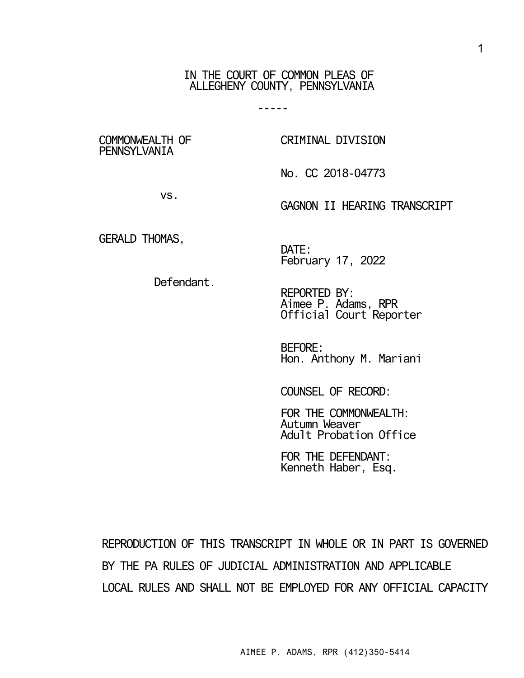IN THE COURT OF COMMON PLEAS OF ALLEGHENY COUNTY, PENNSYLVANIA

-----

COMMONWEALTH OF **PENNSYLVANIA** 

CRIMINAL DIVISION

No. CC 2018-04773

vs.

GERALD THOMAS,

GAGNON II HEARING TRANSCRIPT

DATE: February 17, 2022

Defendant.

REPORTED BY: Aimee P. Adams, RPR Official Court Reporter

BEFORE: Hon. Anthony M. Mariani

COUNSEL OF RECORD:

FOR THE COMMONWEALTH: Autumn Weaver Adult Probation Office

FOR THE DEFENDANT: Kenneth Haber, Esq.

REPRODUCTION OF THIS TRANSCRIPT IN WHOLE OR IN PART IS GOVERNED BY THE PA RULES OF JUDICIAL ADMINISTRATION AND APPLICABLE LOCAL RULES AND SHALL NOT BE EMPLOYED FOR ANY OFFICIAL CAPACITY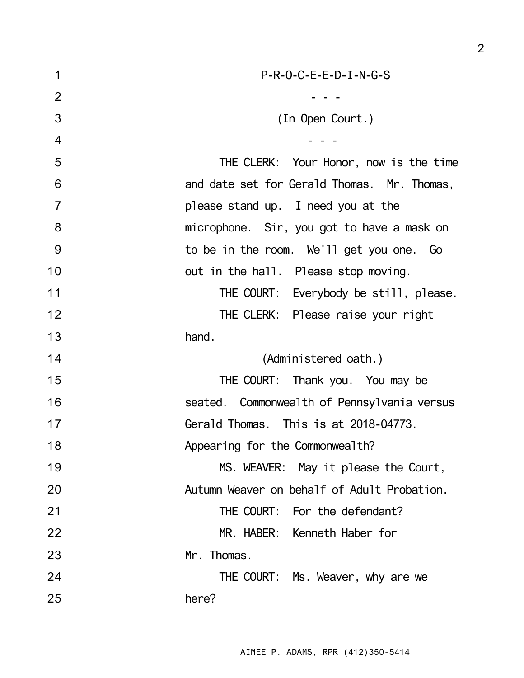| 1              | $P-R-O-C-E-E-D-I-N-G-S$                     |
|----------------|---------------------------------------------|
| $\overline{2}$ |                                             |
| 3              | (In Open Court.)                            |
| $\overline{4}$ |                                             |
| 5              | THE CLERK: Your Honor, now is the time      |
| 6              | and date set for Gerald Thomas. Mr. Thomas, |
| $\overline{7}$ | please stand up. I need you at the          |
| 8              | microphone. Sir, you got to have a mask on  |
| 9              | to be in the room. We'll get you one. Go    |
| 10             | out in the hall. Please stop moving.        |
| 11             | THE COURT: Everybody be still, please.      |
| 12             | THE CLERK: Please raise your right          |
| 13             | hand.                                       |
| 14             | (Administered oath.)                        |
| 15             | THE COURT: Thank you. You may be            |
| 16             | seated. Commonwealth of Pennsylvania versus |
| 17             | Gerald Thomas. This is at 2018-04773.       |
| 18             | Appearing for the Commonwealth?             |
| 19             | MS. WEAVER: May it please the Court,        |
| 20             | Autumn Weaver on behalf of Adult Probation. |
| 21             | THE COURT: For the defendant?               |
| 22             | MR. HABER: Kenneth Haber for                |
| 23             | Mr. Thomas.                                 |
| 24             | THE COURT: Ms. Weaver, why are we           |
| 25             | here?                                       |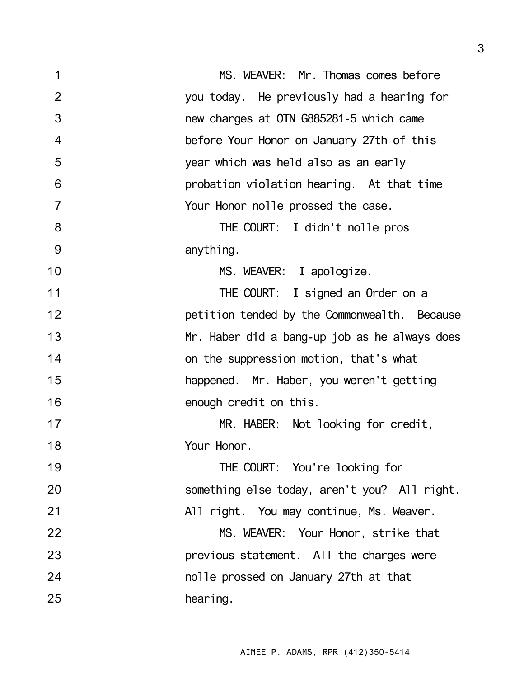| 1              | MS. WEAVER: Mr. Thomas comes before           |
|----------------|-----------------------------------------------|
| $\overline{2}$ | you today. He previously had a hearing for    |
| 3              | new charges at OTN G885281-5 which came       |
| $\overline{4}$ | before Your Honor on January 27th of this     |
| 5              | year which was held also as an early          |
| 6              | probation violation hearing. At that time     |
| $\overline{7}$ | Your Honor nolle prossed the case.            |
| 8              | THE COURT: I didn't nolle pros                |
| 9              | anything.                                     |
| 10             | MS. WEAVER: I apologize.                      |
| 11             | THE COURT: I signed an Order on a             |
| 12             | petition tended by the Commonwealth. Because  |
| 13             | Mr. Haber did a bang-up job as he always does |
| 14             | on the suppression motion, that's what        |
| 15             | happened. Mr. Haber, you weren't getting      |
| 16             | enough credit on this.                        |
| 17             | MR. HABER: Not looking for credit,            |
| 18             | Your Honor.                                   |
| 19             | THE COURT: You're looking for                 |
| 20             | something else today, aren't you? All right.  |
| 21             | All right. You may continue, Ms. Weaver.      |
| 22             | MS. WEAVER: Your Honor, strike that           |
| 23             | previous statement. All the charges were      |
| 24             | nolle prossed on January 27th at that         |
| 25             | hearing.                                      |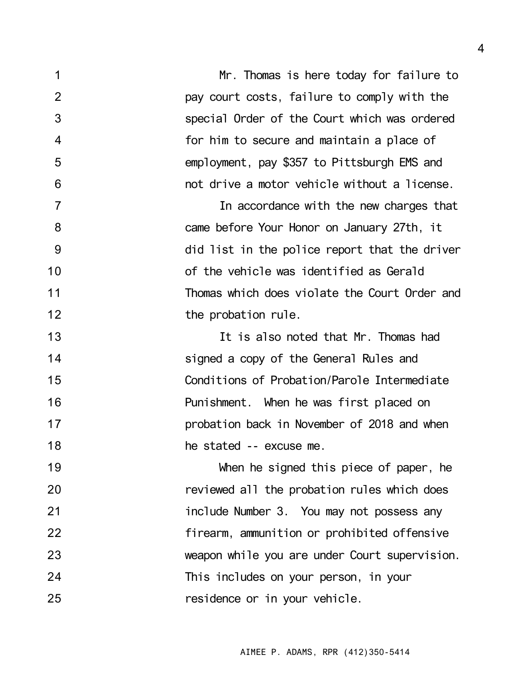1 2 3 4 5 6 7 8 9 10 11 12 13 14 15 16 17 18 19 20 21 22 23 24 25 Mr. Thomas is here today for failure to pay court costs, failure to comply with the special Order of the Court which was ordered for him to secure and maintain a place of employment, pay \$357 to Pittsburgh EMS and not drive a motor vehicle without a license. In accordance with the new charges that came before Your Honor on January 27th, it did list in the police report that the driver of the vehicle was identified as Gerald Thomas which does violate the Court Order and the probation rule. It is also noted that Mr. Thomas had signed a copy of the General Rules and Conditions of Probation/Parole Intermediate Punishment. When he was first placed on probation back in November of 2018 and when he stated -- excuse me. When he signed this piece of paper, he reviewed all the probation rules which does include Number 3. You may not possess any firearm, ammunition or prohibited offensive weapon while you are under Court supervision. This includes on your person, in your residence or in your vehicle.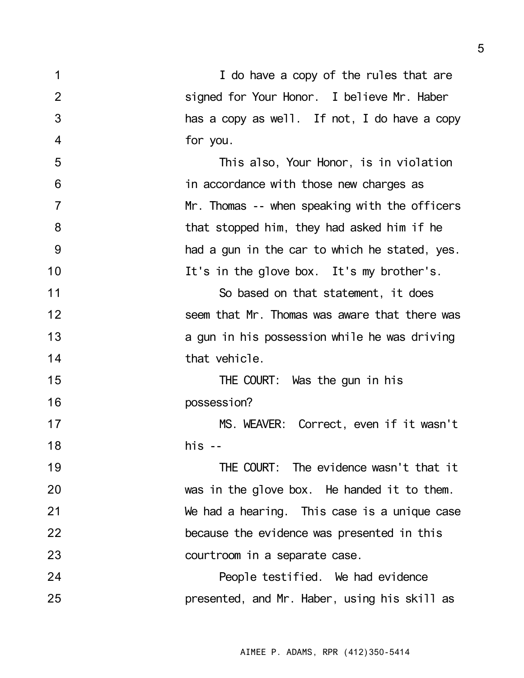1 2 3 4 5 6 7 8 9 10 11 12 13 14 15 16 17 18 19 20 21 22 23 24 25 I do have a copy of the rules that are signed for Your Honor. I believe Mr. Haber has a copy as well. If not, I do have a copy for you. This also, Your Honor, is in violation in accordance with those new charges as Mr. Thomas -- when speaking with the officers that stopped him, they had asked him if he had a gun in the car to which he stated, yes. It's in the glove box. It's my brother's. So based on that statement, it does seem that Mr. Thomas was aware that there was a gun in his possession while he was driving that vehicle. THE COURT: Was the gun in his possession? MS. WEAVER: Correct, even if it wasn't  $his - -$ THE COURT: The evidence wasn't that it was in the glove box. He handed it to them. We had a hearing. This case is a unique case because the evidence was presented in this courtroom in a separate case. People testified. We had evidence presented, and Mr. Haber, using his skill as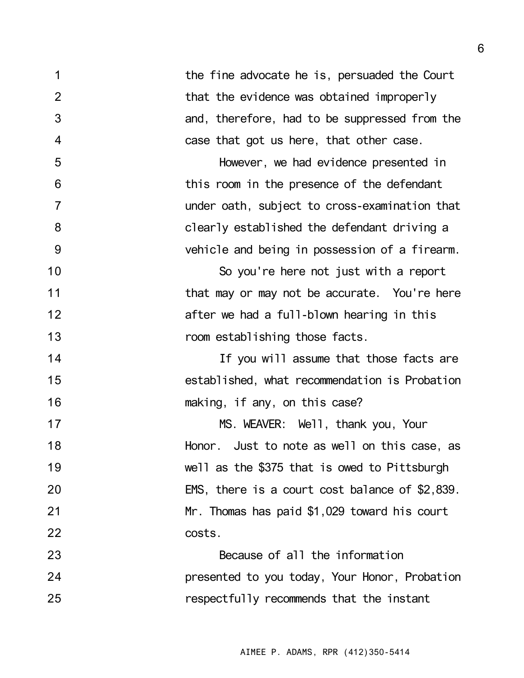1 2 3 4 5 6 7 8 9 10 11 12 13 14 15 16 17 18 19 20 21 22 23 24 25 the fine advocate he is, persuaded the Court that the evidence was obtained improperly and, therefore, had to be suppressed from the case that got us here, that other case. However, we had evidence presented in this room in the presence of the defendant under oath, subject to cross-examination that clearly established the defendant driving a vehicle and being in possession of a firearm. So you're here not just with a report that may or may not be accurate. You're here after we had a full-blown hearing in this room establishing those facts. If you will assume that those facts are established, what recommendation is Probation making, if any, on this case? MS. WEAVER: Well, thank you, Your Honor. Just to note as well on this case, as well as the \$375 that is owed to Pittsburgh EMS, there is a court cost balance of \$2,839. Mr. Thomas has paid \$1,029 toward his court costs. Because of all the information presented to you today, Your Honor, Probation respectfully recommends that the instant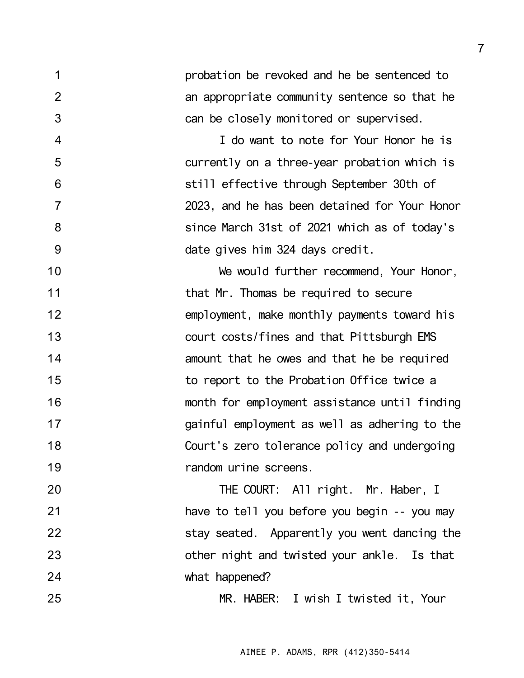probation be revoked and he be sentenced to an appropriate community sentence so that he can be closely monitored or supervised.

1

2

3

4

5

6

7

8

9

I do want to note for Your Honor he is currently on a three-year probation which is still effective through September 30th of 2023, and he has been detained for Your Honor since March 31st of 2021 which as of today's date gives him 324 days credit.

10 11 12 13 14 15 16 17 18 19 We would further recommend, Your Honor, that Mr. Thomas be required to secure employment, make monthly payments toward his court costs/fines and that Pittsburgh EMS amount that he owes and that he be required to report to the Probation Office twice a month for employment assistance until finding gainful employment as well as adhering to the Court's zero tolerance policy and undergoing random urine screens.

20 21 22 23 24 THE COURT: All right. Mr. Haber, I have to tell you before you begin -- you may stay seated. Apparently you went dancing the other night and twisted your ankle. Is that what happened?

25 MR. HABER: I wish I twisted it, Your

AIMEE P. ADAMS, RPR (412)350-5414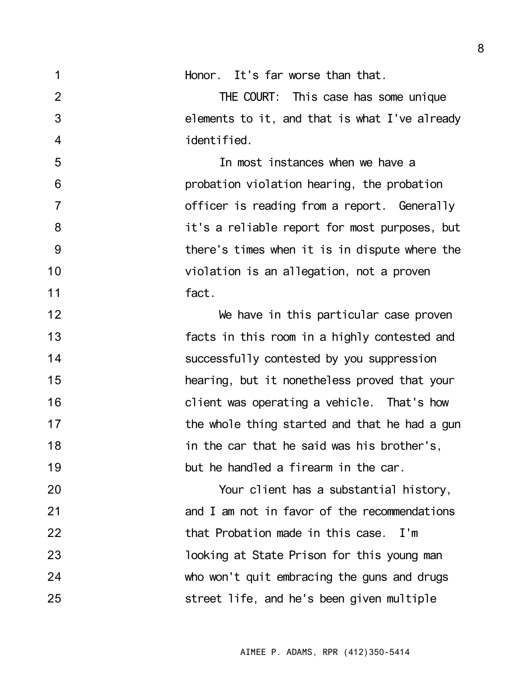| 1              | Honor. It's far worse than that.              |
|----------------|-----------------------------------------------|
| $\overline{2}$ | THE COURT: This case has some unique          |
| 3              | elements to it, and that is what I've already |
| $\overline{4}$ | identified.                                   |
| 5              | In most instances when we have a              |
| 6              | probation violation hearing, the probation    |
| $\overline{7}$ | officer is reading from a report. Generally   |
| 8              | it's a reliable report for most purposes, but |
| 9              | there's times when it is in dispute where the |
| 10             | violation is an allegation, not a proven      |
| 11             | fact.                                         |
| 12             | We have in this particular case proven        |
| 13             | facts in this room in a highly contested and  |
| 14             | successfully contested by you suppression     |
| 15             | hearing, but it nonetheless proved that your  |
| 16             | client was operating a vehicle. That's how    |
| 17             | the whole thing started and that he had a gun |
| 18             | in the car that he said was his brother's,    |
| 19             | but he handled a firearm in the car.          |
| 20             | Your client has a substantial history,        |
| 21             | and I am not in favor of the recommendations  |
| 22             | that Probation made in this case.<br>I'm      |
| 23             | looking at State Prison for this young man    |
| 24             | who won't quit embracing the guns and drugs   |
| 25             | street life, and he's been given multiple     |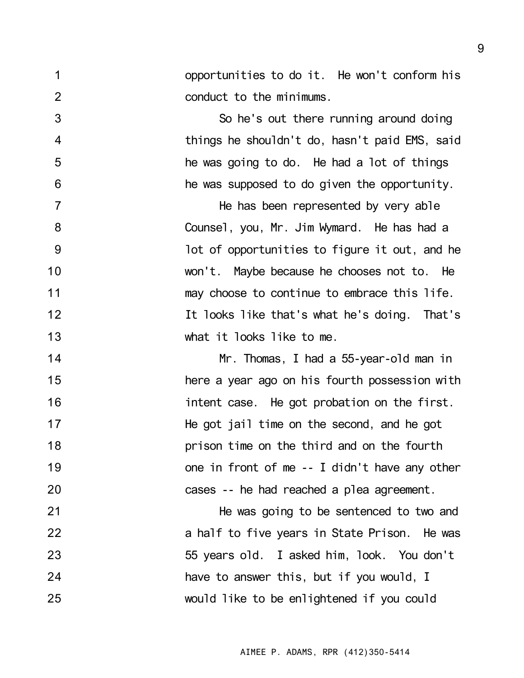opportunities to do it. He won't conform his conduct to the minimums.

So he's out there running around doing things he shouldn't do, hasn't paid EMS, said he was going to do. He had a lot of things he was supposed to do given the opportunity.

1

2

3

4

5

6

7

8

9

10

11

12

13

He has been represented by very able Counsel, you, Mr. Jim Wymard. He has had a lot of opportunities to figure it out, and he won't. Maybe because he chooses not to. He may choose to continue to embrace this life. It looks like that's what he's doing. That's what it looks like to me.

14 15 16 17 18 19 20 Mr. Thomas, I had a 55-year-old man in here a year ago on his fourth possession with intent case. He got probation on the first. He got jail time on the second, and he got prison time on the third and on the fourth one in front of me -- I didn't have any other cases -- he had reached a plea agreement.

21 22 23 24 25 He was going to be sentenced to two and a half to five years in State Prison. He was 55 years old. I asked him, look. You don't have to answer this, but if you would, I would like to be enlightened if you could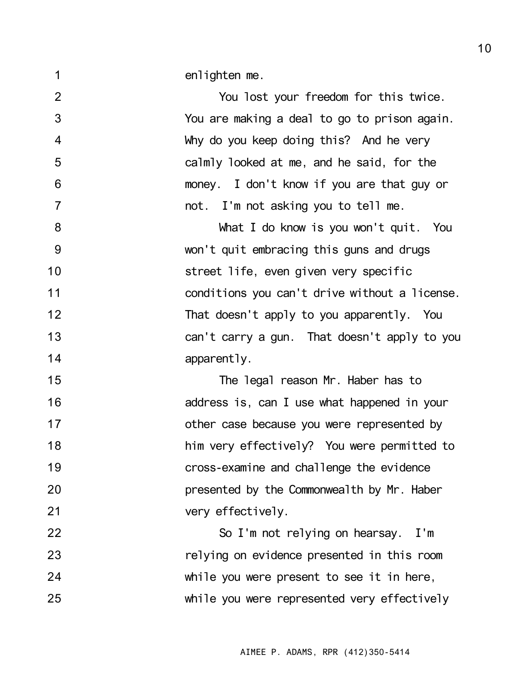2 3 4 5 6 7 8 9 10 11 12 13 14 15 16 17 18 19 20 21 22 23 24 25 You lost your freedom for this twice. You are making a deal to go to prison again. Why do you keep doing this? And he very calmly looked at me, and he said, for the money. I don't know if you are that guy or not. I'm not asking you to tell me. What I do know is you won't quit. You won't quit embracing this guns and drugs street life, even given very specific conditions you can't drive without a license. That doesn't apply to you apparently. You can't carry a gun. That doesn't apply to you apparently. The legal reason Mr. Haber has to address is, can I use what happened in your other case because you were represented by him very effectively? You were permitted to cross-examine and challenge the evidence presented by the Commonwealth by Mr. Haber very effectively. So I'm not relying on hearsay. I'm relying on evidence presented in this room while you were present to see it in here, while you were represented very effectively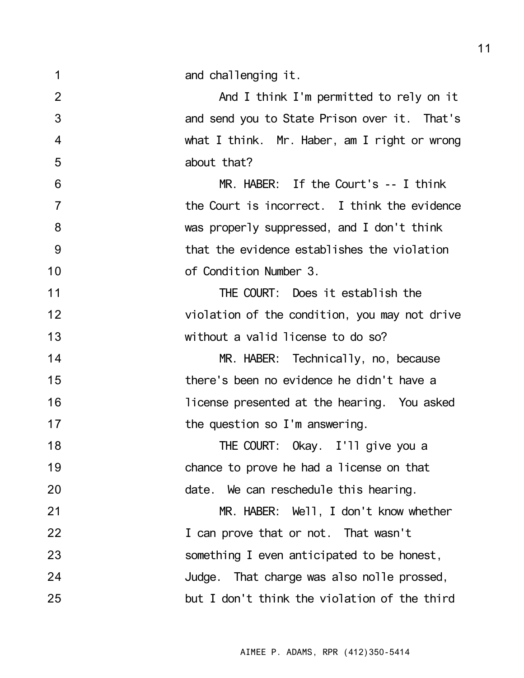and challenging it.

1

6

7

8

9

10

2 3 4 5 And I think I'm permitted to rely on it and send you to State Prison over it. That's what I think. Mr. Haber, am I right or wrong about that?

MR. HABER: If the Court's -- I think the Court is incorrect. I think the evidence was properly suppressed, and I don't think that the evidence establishes the violation of Condition Number 3.

11 12 13 THE COURT: Does it establish the violation of the condition, you may not drive without a valid license to do so?

14 15 16 17 MR. HABER: Technically, no, because there's been no evidence he didn't have a license presented at the hearing. You asked the question so I'm answering.

18 19 20 THE COURT: Okay. I'll give you a chance to prove he had a license on that date. We can reschedule this hearing.

21 22 23 24 25 MR. HABER: Well, I don't know whether I can prove that or not. That wasn't something I even anticipated to be honest, Judge. That charge was also nolle prossed, but I don't think the violation of the third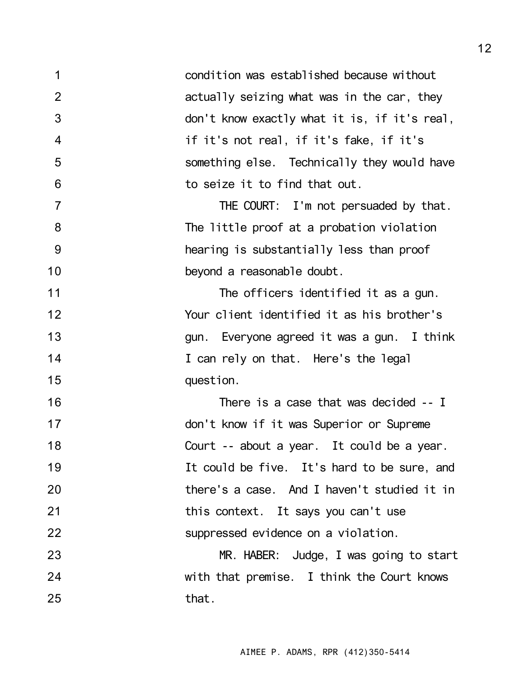1 2 3 4 5 6 7 8 9 10 11 12 13 14 15 16 17 18 19 20 21 22 23 24 25 condition was established because without actually seizing what was in the car, they don't know exactly what it is, if it's real, if it's not real, if it's fake, if it's something else. Technically they would have to seize it to find that out. THE COURT: I'm not persuaded by that. The little proof at a probation violation hearing is substantially less than proof beyond a reasonable doubt. The officers identified it as a gun. Your client identified it as his brother's gun. Everyone agreed it was a gun. I think I can rely on that. Here's the legal question. There is a case that was decided -- I don't know if it was Superior or Supreme Court -- about a year. It could be a year. It could be five. It's hard to be sure, and there's a case. And I haven't studied it in this context. It says you can't use suppressed evidence on a violation. MR. HABER: Judge, I was going to start with that premise. I think the Court knows that.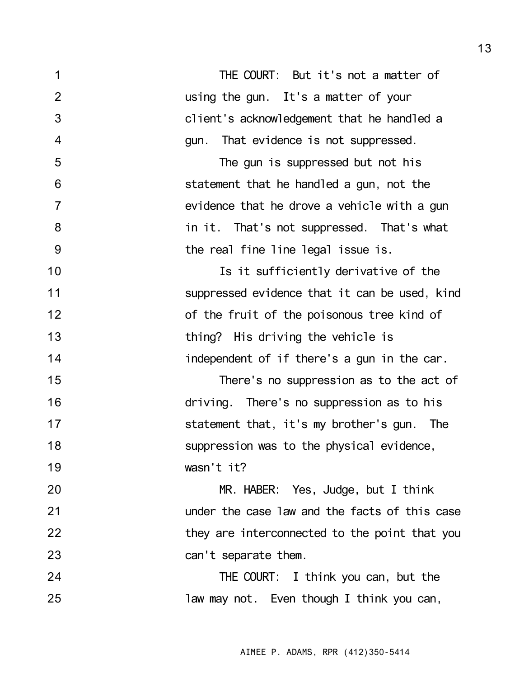| 1              | THE COURT: But it's not a matter of           |
|----------------|-----------------------------------------------|
| $\overline{2}$ | using the gun. It's a matter of your          |
| 3              | client's acknowledgement that he handled a    |
| $\overline{4}$ | gun. That evidence is not suppressed.         |
| 5              | The gun is suppressed but not his             |
| 6              | statement that he handled a gun, not the      |
| $\overline{7}$ | evidence that he drove a vehicle with a gun   |
| 8              | in it. That's not suppressed. That's what     |
| 9              | the real fine line legal issue is.            |
| 10             | Is it sufficiently derivative of the          |
| 11             | suppressed evidence that it can be used, kind |
| 12             | of the fruit of the poisonous tree kind of    |
| 13             | thing? His driving the vehicle is             |
| 14             | independent of if there's a gun in the car.   |
| 15             | There's no suppression as to the act of       |
| 16             | driving. There's no suppression as to his     |
| 17             | statement that, it's my brother's gun. The    |
| 18             | suppression was to the physical evidence,     |
| 19             | wasn't it?                                    |
| 20             | MR. HABER: Yes, Judge, but I think            |
| 21             | under the case law and the facts of this case |
| 22             | they are interconnected to the point that you |
| 23             | can't separate them.                          |
| 24             | THE COURT: I think you can, but the           |
| 25             | law may not. Even though I think you can,     |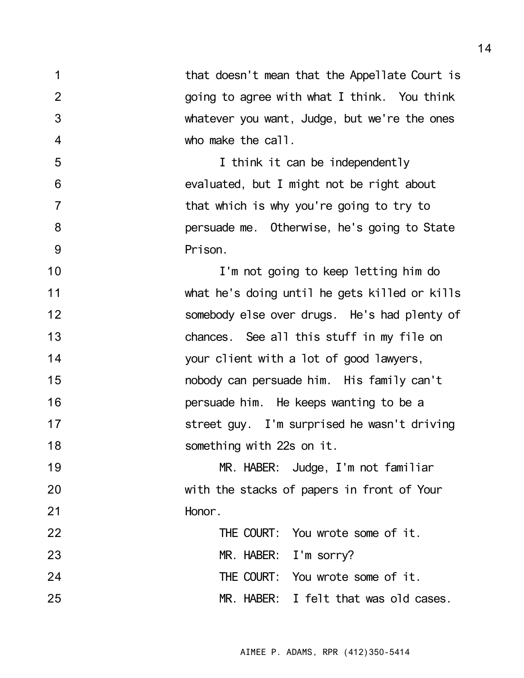| 1              | that doesn't mean that the Appellate Court is |
|----------------|-----------------------------------------------|
| $\overline{2}$ | going to agree with what I think. You think   |
| 3              | whatever you want, Judge, but we're the ones  |
| 4              | who make the call.                            |
| 5              | I think it can be independently               |
| 6              | evaluated, but I might not be right about     |
| $\overline{7}$ | that which is why you're going to try to      |
| 8              | persuade me. Otherwise, he's going to State   |
| 9              | Prison.                                       |
| 10             | I'm not going to keep letting him do          |
| 11             | what he's doing until he gets killed or kills |
| 12             | somebody else over drugs. He's had plenty of  |
| 13             | chances. See all this stuff in my file on     |
| 14             | your client with a lot of good lawyers,       |
| 15             | nobody can persuade him. His family can't     |
| 16             | persuade him. He keeps wanting to be a        |
| 17             | street guy. I'm surprised he wasn't driving   |
| 18             | something with 22s on it.                     |
| 19             | MR. HABER: Judge, I'm not familiar            |
| 20             | with the stacks of papers in front of Your    |
| 21             | Honor.                                        |
| 22             | THE COURT: You wrote some of it.              |
| 23             | MR. HABER: I'm sorry?                         |
| 24             | THE COURT: You wrote some of it.              |
| 25             | MR. HABER: I felt that was old cases.         |

AIMEE P. ADAMS, RPR (412)350-5414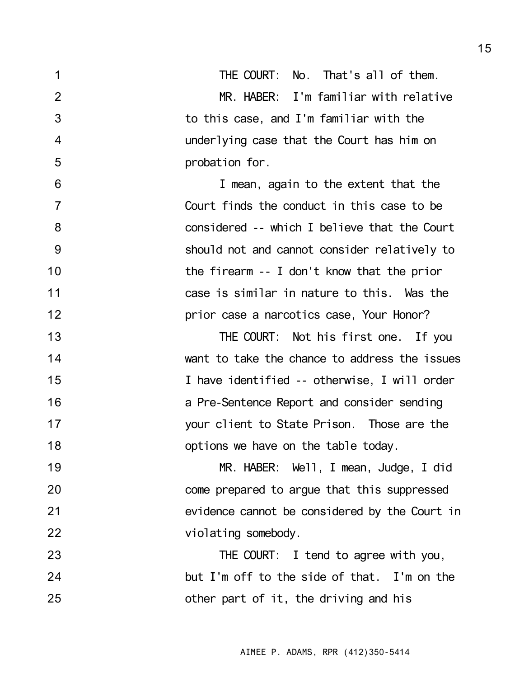| 1              | THE COURT: No. That's all of them.            |
|----------------|-----------------------------------------------|
| $\overline{2}$ | MR. HABER: I'm familiar with relative         |
| 3              | to this case, and I'm familiar with the       |
| $\overline{4}$ | underlying case that the Court has him on     |
| 5              | probation for.                                |
| 6              | I mean, again to the extent that the          |
| $\overline{7}$ | Court finds the conduct in this case to be    |
| 8              | considered -- which I believe that the Court  |
| 9              | should not and cannot consider relatively to  |
| 10             | the firearm $-1$ don't know that the prior    |
| 11             | case is similar in nature to this. Was the    |
| 12             | prior case a narcotics case, Your Honor?      |
| 13             | THE COURT: Not his first one. If you          |
| 14             | want to take the chance to address the issues |
| 15             | I have identified -- otherwise, I will order  |
| 16             | a Pre-Sentence Report and consider sending    |
| 17             | your client to State Prison. Those are the    |
| 18             | options we have on the table today.           |
| 19             | MR. HABER: Well, I mean, Judge, I did         |
| 20             | come prepared to argue that this suppressed   |
| 21             | evidence cannot be considered by the Court in |
| 22             | violating somebody.                           |
| 23             | THE COURT: I tend to agree with you,          |
| 24             | but I'm off to the side of that. I'm on the   |
| 25             | other part of it, the driving and his         |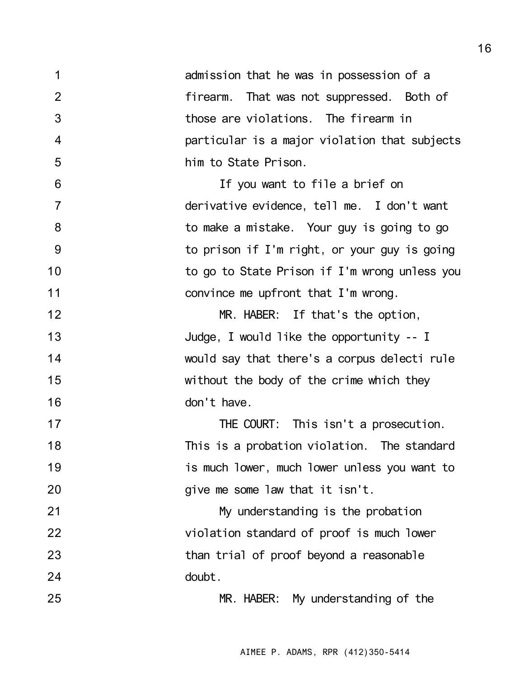1 2 3 4 5 6 7 8 9 10 11 12 13 14 15 16 17 18 19 20 21 22 23 24 25 admission that he was in possession of a firearm. That was not suppressed. Both of those are violations. The firearm in particular is a major violation that subjects him to State Prison. If you want to file a brief on derivative evidence, tell me. I don't want to make a mistake. Your guy is going to go to prison if I'm right, or your guy is going to go to State Prison if I'm wrong unless you convince me upfront that I'm wrong. MR. HABER: If that's the option, Judge, I would like the opportunity -- I would say that there's a corpus delecti rule without the body of the crime which they don't have. THE COURT: This isn't a prosecution. This is a probation violation. The standard is much lower, much lower unless you want to give me some law that it isn't. My understanding is the probation violation standard of proof is much lower than trial of proof beyond a reasonable doubt. MR. HABER: My understanding of the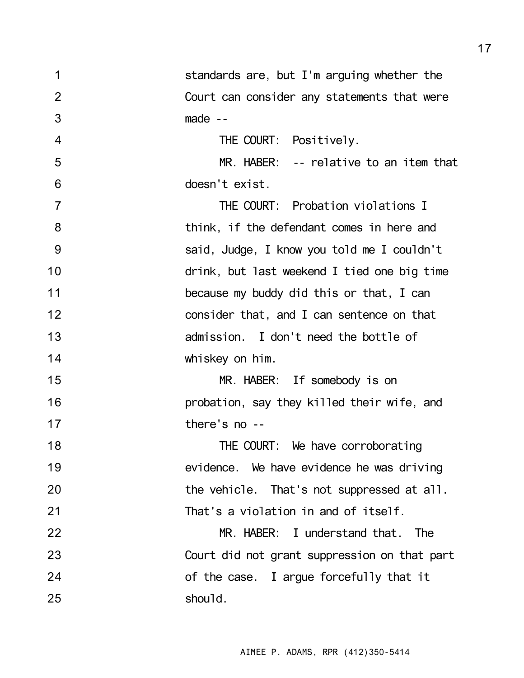| 1              | standards are, but I'm arguing whether the   |
|----------------|----------------------------------------------|
| $\overline{2}$ | Court can consider any statements that were  |
| 3              | $made -$                                     |
| $\overline{4}$ | THE COURT: Positively.                       |
| 5              | MR. HABER: -- relative to an item that       |
| 6              | doesn't exist.                               |
| $\overline{7}$ | THE COURT: Probation violations I            |
| 8              | think, if the defendant comes in here and    |
| 9              | said, Judge, I know you told me I couldn't   |
| 10             | drink, but last weekend I tied one big time  |
| 11             | because my buddy did this or that, I can     |
| 12             | consider that, and I can sentence on that    |
| 13             | admission. I don't need the bottle of        |
| 14             | whiskey on him.                              |
| 15             | MR. HABER: If somebody is on                 |
| 16             | probation, say they killed their wife, and   |
| 17             | there's no --                                |
| 18             | THE COURT: We have corroborating             |
| 19             | evidence. We have evidence he was driving    |
| 20             | the vehicle. That's not suppressed at all.   |
| 21             | That's a violation in and of itself.         |
| 22             | MR. HABER: I understand that. The            |
| 23             | Court did not grant suppression on that part |
| 24             | of the case. I argue forcefully that it      |
| 25             | should.                                      |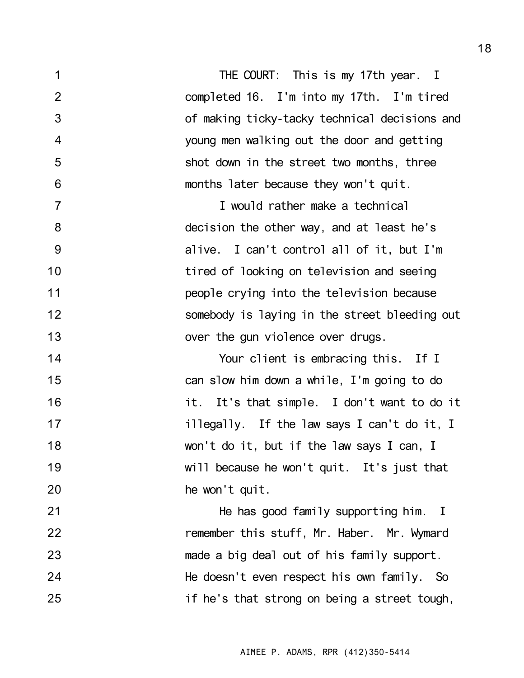1 2 3 4 5 6 7 8 9 10 11 12 13 14 15 16 17 18 19 20 21 22 23 24 25 THE COURT: This is my 17th year. I completed 16. I'm into my 17th. I'm tired of making ticky-tacky technical decisions and young men walking out the door and getting shot down in the street two months, three months later because they won't quit. I would rather make a technical decision the other way, and at least he's alive. I can't control all of it, but I'm tired of looking on television and seeing people crying into the television because somebody is laying in the street bleeding out over the gun violence over drugs. Your client is embracing this. If I can slow him down a while, I'm going to do it. It's that simple. I don't want to do it illegally. If the law says I can't do it, I won't do it, but if the law says I can, I will because he won't quit. It's just that he won't quit. He has good family supporting him. I remember this stuff, Mr. Haber. Mr. Wymard made a big deal out of his family support. He doesn't even respect his own family. So if he's that strong on being a street tough,

AIMEE P. ADAMS, RPR (412)350-5414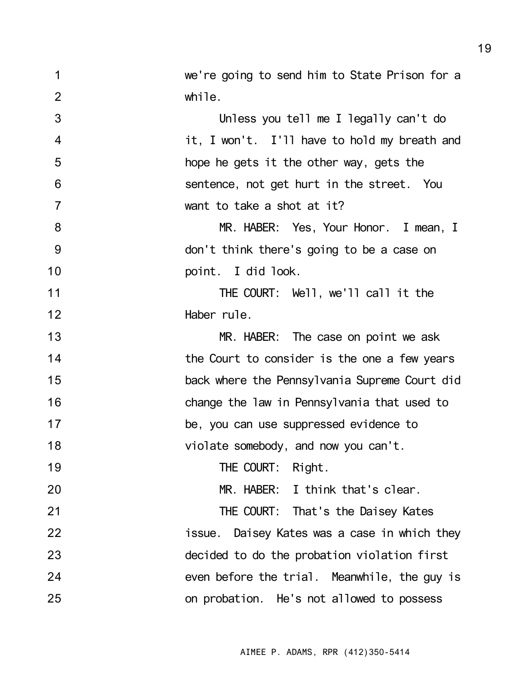2 3 4 5 6 7 8 9 10 11 12 13 14 15 16 17 while. Unless you tell me I legally can't do it, I won't. I'll have to hold my breath and hope he gets it the other way, gets the sentence, not get hurt in the street. You want to take a shot at it? MR. HABER: Yes, Your Honor. I mean, I don't think there's going to be a case on point. I did look. THE COURT: Well, we'll call it the Haber rule. MR. HABER: The case on point we ask the Court to consider is the one a few years back where the Pennsylvania Supreme Court did change the law in Pennsylvania that used to be, you can use suppressed evidence to

we're going to send him to State Prison for a

1

18

19

20

21

22

23

24

25

AIMEE P. ADAMS, RPR (412)350-5414

THE COURT: That's the Daisey Kates issue. Daisey Kates was a case in which they decided to do the probation violation first even before the trial. Meanwhile, the guy is on probation. He's not allowed to possess

THE COURT: Right.

violate somebody, and now you can't.

MR. HABER: I think that's clear.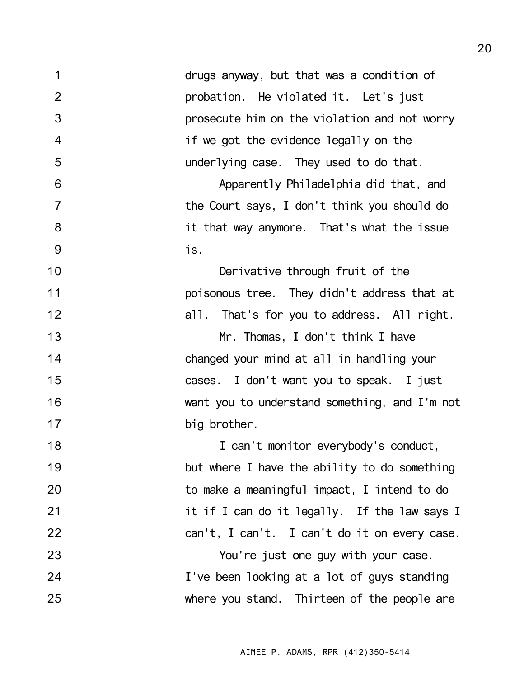1 2 3 4 5 6 7 8 9 10 11 12 13 14 15 16 17 18 19 20 21 22 23 24 25 drugs anyway, but that was a condition of probation. He violated it. Let's just prosecute him on the violation and not worry if we got the evidence legally on the underlying case. They used to do that. Apparently Philadelphia did that, and the Court says, I don't think you should do it that way anymore. That's what the issue is. Derivative through fruit of the poisonous tree. They didn't address that at all. That's for you to address. All right. Mr. Thomas, I don't think I have changed your mind at all in handling your cases. I don't want you to speak. I just want you to understand something, and I'm not big brother. I can't monitor everybody's conduct, but where I have the ability to do something to make a meaningful impact, I intend to do it if I can do it legally. If the law says I can't, I can't. I can't do it on every case. You're just one guy with your case. I've been looking at a lot of guys standing where you stand. Thirteen of the people are

AIMEE P. ADAMS, RPR (412)350-5414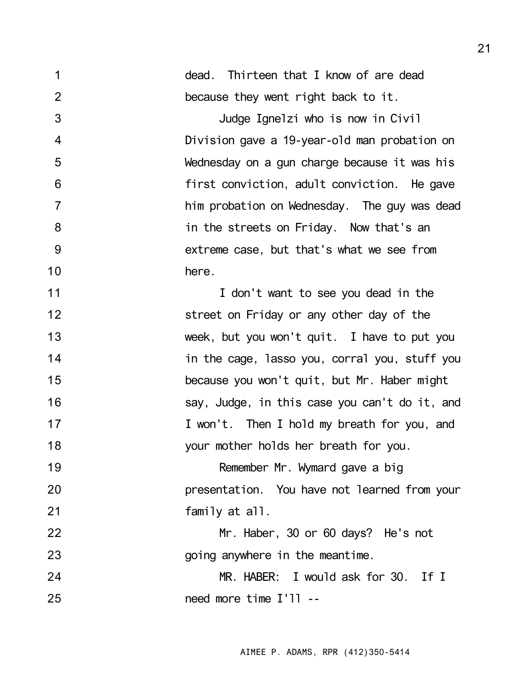| 1              | dead. Thirteen that I know of are dead        |
|----------------|-----------------------------------------------|
| $\overline{2}$ | because they went right back to it.           |
| 3              | Judge Ignelzi who is now in Civil             |
| $\overline{4}$ | Division gave a 19-year-old man probation on  |
| 5              | Wednesday on a gun charge because it was his  |
| 6              | first conviction, adult conviction. He gave   |
| $\overline{7}$ | him probation on Wednesday. The guy was dead  |
| 8              | in the streets on Friday. Now that's an       |
| 9              | extreme case, but that's what we see from     |
| 10             | here.                                         |
| 11             | I don't want to see you dead in the           |
| 12             | street on Friday or any other day of the      |
| 13             | week, but you won't quit. I have to put you   |
| 14             | in the cage, lasso you, corral you, stuff you |
| 15             | because you won't quit, but Mr. Haber might   |
| 16             | say, Judge, in this case you can't do it, and |
| 17             | I won't. Then I hold my breath for you, and   |
| 18             | your mother holds her breath for you.         |
| 19             | Remember Mr. Wymard gave a big                |
| 20             | presentation. You have not learned from your  |
| 21             | family at all.                                |
| 22             | Mr. Haber, 30 or 60 days? He's not            |
| 23             | going anywhere in the meantime.               |
| 24             | MR. HABER: I would ask for 30. If I           |
| 25             | need more time I'll --                        |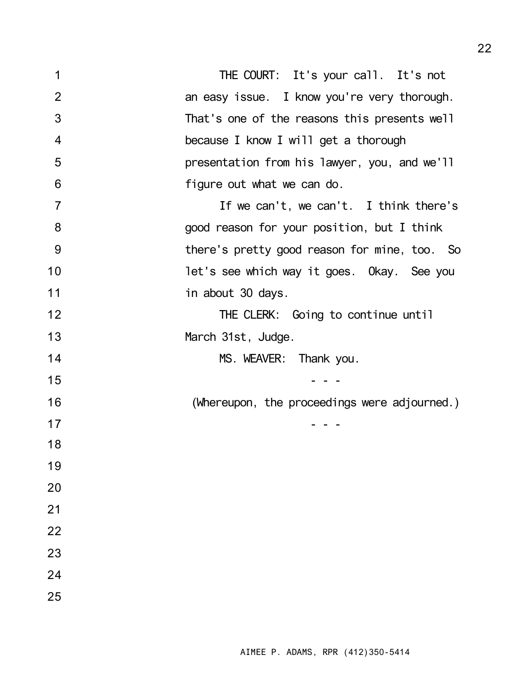| 1              | THE COURT: It's your call. It's not          |
|----------------|----------------------------------------------|
| 2              | an easy issue. I know you're very thorough.  |
| 3              | That's one of the reasons this presents well |
| $\overline{4}$ | because I know I will get a thorough         |
| 5              | presentation from his lawyer, you, and we'll |
| 6              | figure out what we can do.                   |
| $\overline{7}$ | If we can't, we can't. I think there's       |
| 8              | good reason for your position, but I think   |
| 9              | there's pretty good reason for mine, too. So |
| 10             | let's see which way it goes. Okay. See you   |
| 11             | in about 30 days.                            |
| 12             | THE CLERK: Going to continue until           |
| 13             | March 31st, Judge.                           |
| 14             | MS. WEAVER: Thank you.                       |
| 15             |                                              |
| 16             | (Whereupon, the proceedings were adjourned.) |
| 17             |                                              |
| 18             |                                              |
| 19             |                                              |
| 20             |                                              |
| 21             |                                              |
| 22             |                                              |
| 23             |                                              |
| 24             |                                              |
| 25             |                                              |